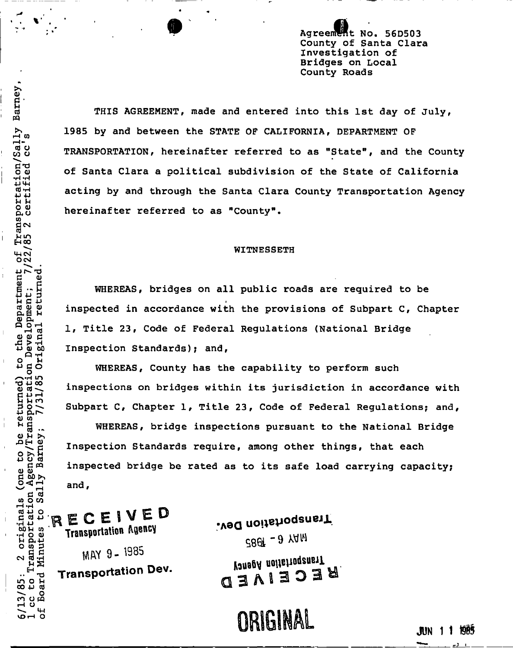Agreement No. 56D503 County of Santa Clara Investigation of Bridges on Local County Roads

THIS AGREEMENT, made and entered into this 1st day of July, 1985 by and between the STATE OF CALIFORNIA, DEPARTMENT OF TRANSPORTATION, hereinafter referred to as "State", and the County of Santa Clara a political subdivision of the State of California O TRANSPORTATION, hereinafter referred to as "State", and the County o o) of Santa Clara a political subdivision of the State of California hereinafter referred to as "County".

# p^o hereinafter referred to as "County". The county of the county of the county of the county of the county of the county of the county of the county of the county of the county of the county of the county of the county of

§ 6 WHEREAS, bridges on all public roads are required to be d 1, Title 23, Code of Federal Regulations (National Bridge<br>E,<br>w Inspection Standards); and, io Inspection Standards); and,<br>H<br>O WHEREAS, County has th

0 1 150<br>
WHEREAS, County has the capability to perform such<br>
THE inspections on bridges within its jurisdiction in accord<br>
Subpart C, Chapter 1, Title 23, Code of Federal Regulat:<br>
WHEREAS, bridge inspections pursuant to t inspections on bridges within its jurisdiction in accordance with<br> $\frac{1}{2}$ <br> $\frac{1}{2}$ <br> $\frac{1}{2}$ <br> $\frac{1}{2}$ <br> $\frac{1}{2}$ <br> $\frac{1}{2}$ <br> $\frac{1}{2}$ <br> $\frac{1}{2}$ <br> $\frac{1}{2}$ <br> $\frac{1}{2}$ <br> $\frac{1}{2}$ <br> $\frac{1}{2}$ <br> $\frac{1}{2}$ <br> $\frac{1}{2}$ <br> $\frac{1}{2}$ <br> $\frac{1$  $B \geq 3$  Subpart C, Chapter 1, Title 23, Code of Federal Regulations; and,

H § .. WHEREAS, bridge inspections pursuant to the National Bridge<br>
2H D<br>
2H 2 Inspection Standards require among other things, that each po<br>E Inspection Standards require, among other things, that each<br>Ha inspected bridge be rated as to its safe load carrying capae inspected bridge be rated as to its safe load carrying capacity;  $\begin{array}{ll} \square\oplus\rightarrow\square\end{array}$ 

 $\frac{1}{4}$  $\frac{1}{2}$  $\frac{1}{2}$  $\frac{1}{2}$ m H co C Co Transportation Agency<br>C co C Transportation Agency

 $\mathbb{R}^N$   $\mathbb{R}^N$   $\mathbb{R}^N$   $\mathbb{R}^N$   $\mathbb{R}^N$   $\mathbb{R}^N$   $\mathbb{R}^N$   $\mathbb{R}^N$   $\mathbb{R}^N$   $\mathbb{R}^N$   $\mathbb{R}^N$   $\mathbb{R}^N$   $\mathbb{R}^N$   $\mathbb{R}^N$   $\mathbb{R}^N$   $\mathbb{R}^N$   $\mathbb{R}^N$   $\mathbb{R}^N$   $\mathbb{R}^N$   $\mathbb{R}^N$ 

ົ<u>ດ)</u><br>ລ S"

ທ. ด<br>7<br>ส<del>.</del>ศ

<u>ក</u>ពី .<br>ព<br>ព

*u u* 

it of<br>7/22<br>d

rtm<br>at;<br>turn

**u** <del>C</del> ⊣

, Aଁ ਜੁੰ  $25<sup>2</sup>$ 

 $\overline{85}$  $\frac{1}{2}$   $\frac{1}{2}$ 

 $\vec{H}$   $\vec{H}$   $\vec{S}$ 

 $\frac{a}{b}$  M  $\frac{b}{c}$ 

*o >>u*  4-» o cd

ក - ក<br>កំ ប <del>២</del>

a) co

*Q) fX* 

CM MAY 9- 1935

Transportation Dev. Museum Museum **a S l Transportation** Dev. **q 3 ^ ( 3 0 3** 

ECEIVEL<br>
Figure Transportation Agency<br>
Sect - 3 YAM<br>
RECEIVEL<br>
MAY 8 - 1985<br>
RECEIVEL<br>
MAY 9 - 1985<br>
MAY 9 - 1985<br>
Sect - 9 YAM *CBB* - 9 YAM

 $\sum_{n=0}^{\infty}$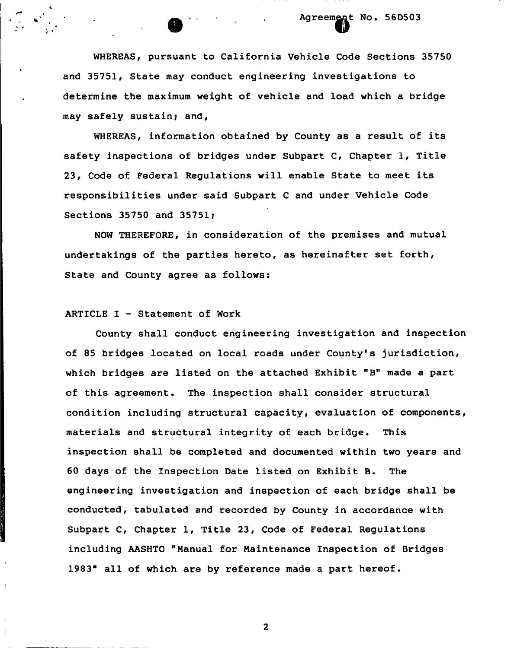# **Agreement NQ. 56D503**  n

WHEREAS, pursuant to California Vehicle Code Sections 35750 and 35751, State may conduct engineering investigations to determine the maximum weight of vehicle and load which a bridge may safely sustain; and,

WHEREAS, information obtained by County as a result of its safety inspections of bridges under Subpart C, Chapter 1, Title 23, Code of Federal Regulations will enable State to meet its responsibilities under said Subpart C and under Vehicle Code Sections 35750 and 35751;

NOW THEREFORE, in consideration of the premises and mutual undertakings of the parties hereto, as hereinafter set forth, State and County agree as follows:

## ARTICLE I - Statement of Work

County shall conduct engineering investigation and inspection of 85 bridges located on local roads under County's jurisdiction, which bridges are listed on the attached Exhibit "B" made a part of this agreement. The inspection shall consider structural condition including structural capacity, evaluation of components, materials and structural integrity of each bridge. This inspection shall be completed and documented within two years and 60 days of the Inspection Date listed on Exhibit B. The engineering investigation and inspection of each bridge shall be conducted, tabulated and recorded by County in accordance with Subpart C, Chapter 1, Title 23, Code of Federal Regulations including AASHTO "Manual for Maintenance Inspection of Bridges 1983" all of which are by reference made a part hereof.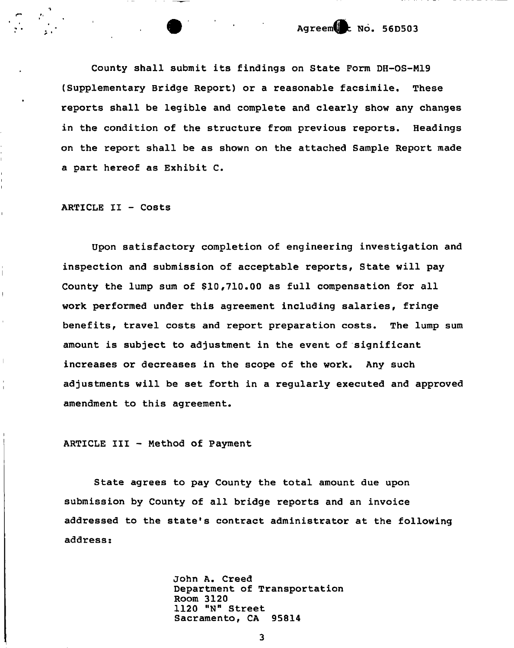County shall submit its findings on State Form DH-0S-M19 (Supplementary Bridge Report) or a reasonable facsimile. These reports shall be legible and complete and clearly show any changes in the condition of the structure from previous reports. Headings on the report shall be as shown on the attached Sample Report made a part hereof as Exhibit C.

ARTICLE II - Costs

 $\overline{1}$ 

ļ

 $\ddot{\phantom{a}}$ 

 $\mathbf{I}$ 

Upon satisfactory completion of engineering investigation and inspection and submission of acceptable reports, State will pay County the lump sum of \$10,710.00 as full compensation for all work performed under this agreement including salaries, fringe benefits, travel costs and report preparation costs. The lump sum amount is subject to adjustment in the event of significant increases or decreases in the scope of the work. Any such adjustments will be set forth in a regularly executed and approved amendment to this agreement.

ARTICLE III - Method of Payment

State agrees to pay County the total amount due upon submission by County of all bridge reports and an invoice addressed to the state's contract administrator at the following address:

> John A. Creed Department of Transportation Room 3120 1120 "N" Street Sacramento, CA 95814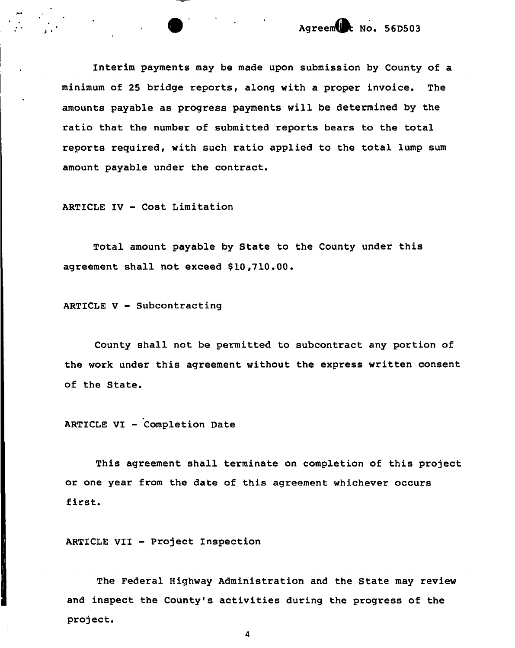Interim payments may be made upon submission by County of a minimum of 25 bridge reports, along with a proper invoice. The amounts payable as progress payments will be determined by the ratio that the number of submitted reports bears to the total reports required, with such ratio applied to the total lump sum amount payable under the contract.

ARTICLE IV - Cost Limitation

Total amount payable by State to the County under this agreement shall not exceed \$10,710.00.

ARTICLE V - Subcontracting

County shall not be permitted to subcontract any portion of the work under this agreement without the express written consent of the State.

ARTICLE VI - Completion Date

This agreement shall terminate on completion of this project or one year from the date of this agreement whichever occurs first.

ARTICLE VII - Project Inspection

The Federal Highway Administration and the State may review and inspect the County's activities during the progress of the project.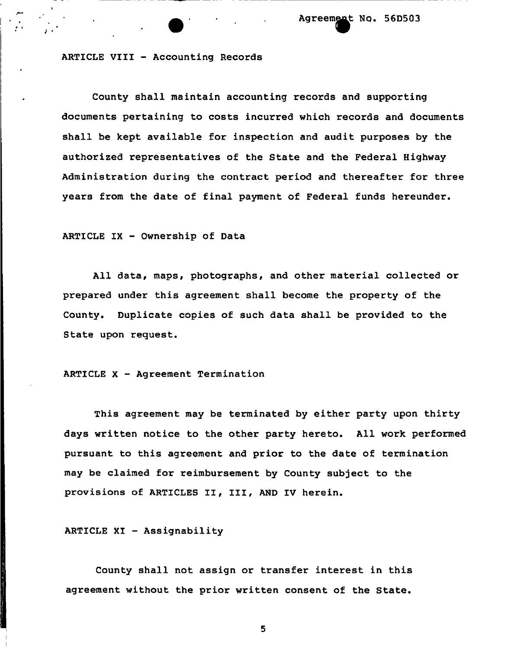^ . Agreem^t N**Q**. 56D503

#### ARTICLE VIII - Accounting Records

County shall maintain accounting records and supporting documents pertaining to costs incurred which records and documents shall be kept available for inspection and audit purposes by the authorized representatives of the State and the Federal Highway Administration during the contract period and thereafter for three years from the date of final payment of Federal funds hereunder.

## ARTICLE IX - Ownership of Data

All data, maps, photographs, and other material collected or prepared under this agreement shall become the property of the County. Duplicate copies of such data shall be provided to the State upon request.

#### ARTICLE X - Agreement Termination

This agreement may be terminated by either party upon thirty days written notice to the other party hereto. All work performed pursuant to this agreement and prior to the date of termination may be claimed for reimbursement by County subject to the provisions of ARTICLES II, III, AND IV herein.

ARTICLE XI - Assignability

County shall not assign or transfer interest in this agreement without the prior written consent of the State.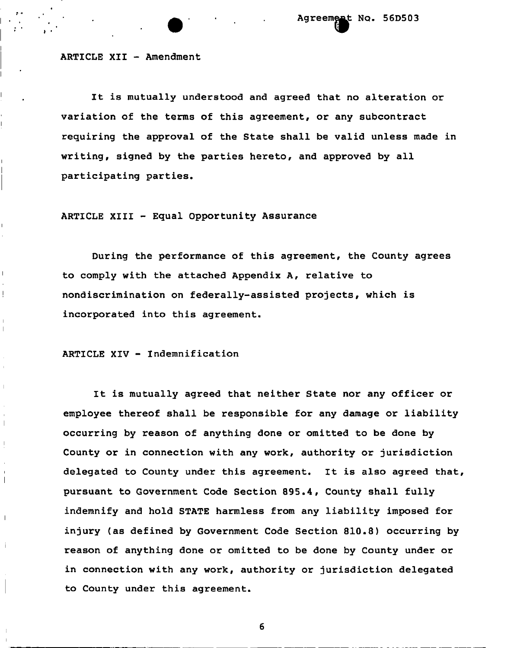ARTICLE XII - Amendment

It is mutually understood and agreed that no alteration or variation of the terms of this agreement, or any subcontract requiring the approval of the State shall be valid unless made in writing, signed by the parties hereto, and approved by all participating parties.

ARTICLE XIII - Equal Opportunity Assurance

During the performance of this agreement, the County agrees to comply with the attached Appendix A, relative to nondiscrimination on federally-assisted projects, which is incorporated into this agreement,

ARTICLE XIV - Indemnification

 $\overline{1}$ 

Ļ

 $\mathbf{I}$ 

 $\overline{\phantom{a}}$ 

 $\overline{\phantom{a}}$ 

j.

It is mutually agreed that neither State nor any officer or employee thereof shall be responsible for any damage or liability occurring by reason of anything done or omitted to be done by County or in connection with any work, authority or jurisdiction delegated to County under this agreement. It is also agreed that, pursuant to Government Code Section 895.4, County shall fully indemnify and hold STATE harmless from any liability imposed for injury (as defined by Government Code Section 810.8) occurring by reason of anything done or omitted to be done by County under or in connection with any work, authority or jurisdiction delegated to County under this agreement.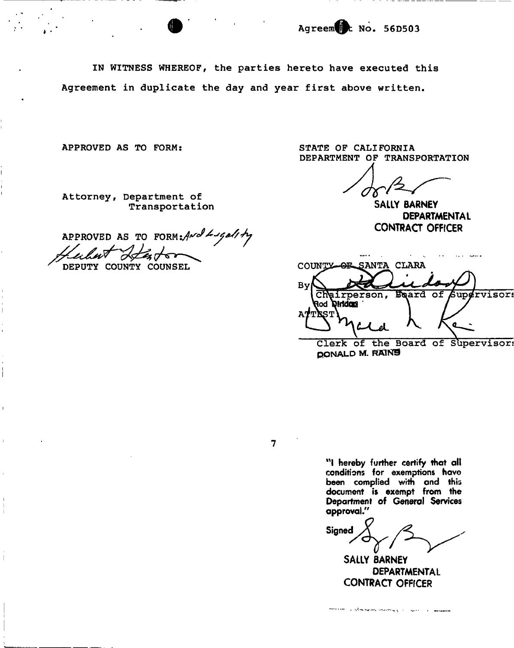IN WITNESS WHEREOF, the parties hereto have executed this Agreement in duplicate the day and year first above written.

APPROVED AS TO FORM:

Attorney, Department of Transportation

APPROVED AS TO FORM: And Ligality

DEPUTY COUNTY COUNSEL

STATE OF CALIFORNIA DEPARTMENT OF TRANSPORTATION

**SALLY BARNEY DEPARTMENTAL CONTRACT OFFICER** 

COUNTY-OF SANTA CLARA By Chairperson, Beard of Supervisors **Roabhla bo**R 'ST  $\mathbf{o}$ Clerk of the Board of Supervisor!

**QONALD M. RAINS** 

 $\overline{7}$ 

**"I hereby further certify that all conditions for exemptions have been complied with and this document is exempt from the Department of General Services approval."** 

Signed

**SALLY BARNEY DEPARTMENTAL CONTRACT OFFICER** 

a company and the second company of the property of the company of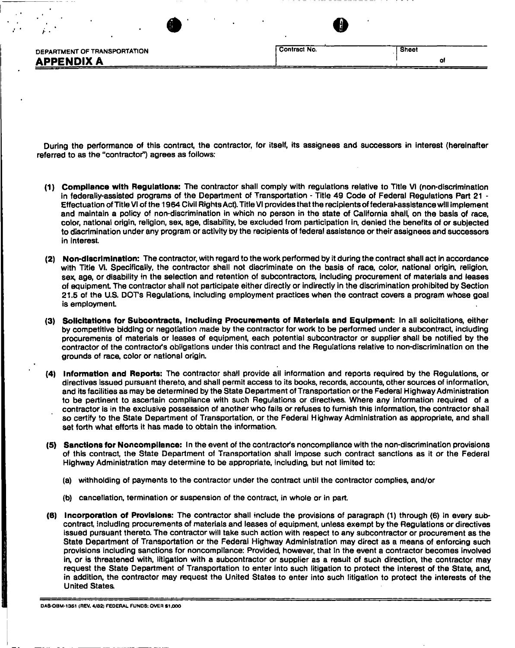|                              | Contract No. |       |
|------------------------------|--------------|-------|
| DEPARTMENT OF TRANSPORTATION |              | Sheet |
| <b>APPENDIX A</b>            |              |       |

 $\bullet$  6  $\bullet$  6

During the performance of this contract, the contractor, for itself, its assignees and successors in interest (hereinafter referred to as the "contractor") agrees as follows:

- **(1) Compliance with Regulations:** The contractor shall comply with regulations relative to Title VI (non-discrimination in federally-assisted programs of the Department of Transportation - Title 49 Code of Federal Regulations Part 21 -Effectuation of Title VI of the 1964 Civil Rights Act). Title VI provides that the recipients of federal-assistance will implement and maintain a policy of non-discrimination in which no person in the state of California shall, on the basis of race, color, national origin, religion, sex, age, disability, be excluded from participation in, denied the benefits of or subjected to discrimination under any program or activity by the recipients of federal assistance or their assignees and successors in interest.
- **(2) Non-discrimination:** The contractor, with regard to the work performed by it during the contract shall act in accordance with Title VI. Specifically, the contractor shall not discriminate on the basis of race, color, national origin, religion, sex, age, or disability in the selection and retention of subcontractors, including procurement of materials and leases of equipment The contractor shall not participate either directly or indirectly in the discrimination prohibited by Section 21.5 of the U.S. DOTs Regulations, including employment practices when the contract covers a program whose goal is employment
- **(3) Solicitations for Subcontracts, including Procurements of Materials and Equipment:** In all solicitations, either by competitive bidding or negotiation made by the contractor for work to be performed under a subcontract, including procurements of materials or leases of equipment, each potential subcontractor or supplier shall be notified by the contractor of the contractor's obligations under this contract and the Regulations relative to non-discrimination on the grounds of race, color or national origin.
- **(4) Information and Reports:** The contractor shall provide all information and reports required by the Regulations, or directives issued pursuant thereto, and shall permit access to its books, records, accounts, other sources of information, and its facilities as may be determined by the State Department of Transportation or the Federal Highway Administration to be pertinent to ascertain compliance with such Regulations or directives. Where any information required of a contractor is in the exclusive possession of another who fails or refuses to furnish this information, the contractor shall so certify to the State Department of Transportation, or the Federal Highway Administration as appropriate, and shall set forth what efforts it has made to obtain the information.
- **(5) Sanctions for Noncompliance:** In the event of the contractor's noncompliance with the non-discrimination provisions of this contract, the State Department of Transportation shall impose such contract sanctions as it or the Federal Highway Administration may determine to be appropriate, including, but not limited to:
	- (a) withholding of payments to the contractor under the contract until the contractor complies, and/or
	- (b) cancellation, termination or suspension of the contract, in whole or in part.
- (6) **Incorporation of Provisions:** The contractor shall include the provisions of paragraph (1) through (6) In every subcontract, including procurements of materials and leases of equipment, unless exempt by the Regulations or directives issued pursuant thereto. The contractor will take such action with respect to any subcontractor or procurement as the State Department of Transportation or the Federal Highway Administration may direct as a means of enforcing such provisions including sanctions for noncompliance: Provided, however, that in the event a contractor becomes involved in, or is threatened with, litigation with a subcontractor or supplier as a result of such direction, the contractor may request the State Department of Transportation to enter into such litigation to protect the interest of the State, and, in addition, the contractor may request the United States to enter into such litigation to protect the interests of the United States

DA3-OBM-1361 (REV. 4/82) FEDERAL FUNDS: OVER \$1,000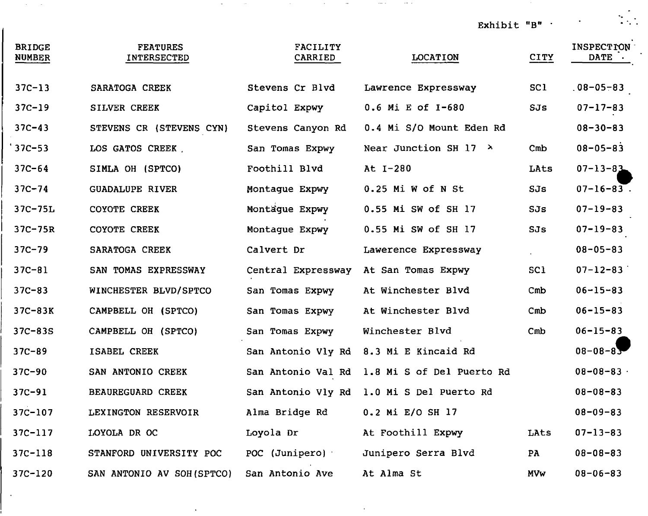Exhibit "B"

 $\sim 100$ 

 $\frac{1}{2}$ 

| <b>BRIDGE</b><br><b>NUMBER</b> | <b>FEATURES</b><br>INTERSECTED | <b>FACILITY</b><br>CARRIED | <b>LOCATION</b>               | <b>CITY</b> | <b>INSPECTION</b><br><b>DATE</b> |
|--------------------------------|--------------------------------|----------------------------|-------------------------------|-------------|----------------------------------|
| $37C - 13$                     | SARATOGA CREEK                 | Stevens Cr Blvd            | Lawrence Expressway           | SC1         | $.08 - 05 - 83$                  |
| $37C - 19$                     | SILVER CREEK                   | Capitol Expwy              | 0.6 Mi E of I-680             | SJs         | $07 - 17 - 83$                   |
| $37C - 43$                     | STEVENS CR (STEVENS CYN)       | Stevens Canyon Rd          | 0.4 Mi S/O Mount Eden Rd      |             | $08 - 30 - 83$                   |
| $37C - 53$                     | LOS GATOS CREEK                | San Tomas Expwy            | Near Junction SH 17 $\lambda$ | Cmb         | $08 - 05 - 83$                   |
| $37C - 64$                     | SIMLA OH (SPTCO)               | Foothill Blvd              | At I-280                      | LAts        | $07 - 13 - 83$                   |
| $37C - 74$                     | <b>GUADALUPE RIVER</b>         | Montaque Expwy             | $0.25$ Mi W of N St           | SJs         | $07 - 16 - 83$ .                 |
| 37C-75L                        | COYOTE CREEK                   | Montague Expwy             | 0.55 Mi SW of SH 17           | SJs         | $07 - 19 - 83$                   |
| $37C - 75R$                    | COYOTE CREEK                   | Montague Expwy             | 0.55 Mi SW of SH 17           | SJs         | $07 - 19 - 83$                   |
| $37C-79$                       | SARATOGA CREEK                 | Calvert Dr                 | Lawerence Expressway          |             | $08 - 05 - 83$                   |
| $37C - 81$                     | SAN TOMAS EXPRESSWAY           | Central Expressway         | At San Tomas Expwy            | SC1.        | $07 - 12 - 83$                   |
| $37C - 83$                     | WINCHESTER BLVD/SPTCO          | San Tomas Expwy            | At Winchester Blvd            | Cmb         | $06 - 15 - 83$                   |
| $37C-83K$                      | CAMPBELL OH (SPTCO)            | San Tomas Expwy            | At Winchester Blvd            | Cmb         | $06 - 15 - 83$                   |
| $37C - 83S$                    | CAMPBELL OH (SPTCO)            | San Tomas Expwy            | Winchester Blvd               | Cmb         | $06 - 15 - 83$                   |
| $37C - 89$                     | ISABEL CREEK                   | San Antonio Vly Rd         | 8.3 Mi E Kincaid Rd           |             | $08 - 08 - 83$                   |
| $37C - 90$                     | SAN ANTONIO CREEK              | San Antonio Val Rd         | 1.8 Mi S of Del Puerto Rd     |             | $08 - 08 - 83$                   |
| $37C - 91$                     | <b>BEAUREGUARD CREEK</b>       | San Antonio Vly Rd         | 1.0 Mi S Del Puerto Rd        |             | $08 - 08 - 83$                   |
| 37C-107                        | LEXINGTON RESERVOIR            | Alma Bridge Rd             | 0.2 Mi E/O SH 17              |             | $08 - 09 - 83$                   |
| $37C - 117$                    | LOYOLA DR OC                   | Loyola Dr                  | At Foothill Expwy             | LAts        | $07 - 13 - 83$                   |
| $37C - 118$                    | STANFORD UNIVERSITY POC        | POC (Junipero)             | Junipero Serra Blvd           | PA          | $08 - 08 - 83$                   |
| 37C-120                        | SAN ANTONIO AV SOH (SPTCO)     | San Antonio Ave            | At Alma St                    | <b>MVw</b>  | $08 - 06 - 83$                   |

 $\sim$ 

 $\rightarrow$ 

 $\mathcal{L}_\mathcal{A}$  is a simple polynomial of the set of the set of the set of the set of the set of the set of the set of the set of the set of the set of the set of the set of the set of the set of the set of the set of the

 $\mathcal{L}^{\mathcal{L}}(\mathcal{A})$  is a set of  $\mathcal{L}^{\mathcal{L}}(\mathcal{A})$ 

 $\sim$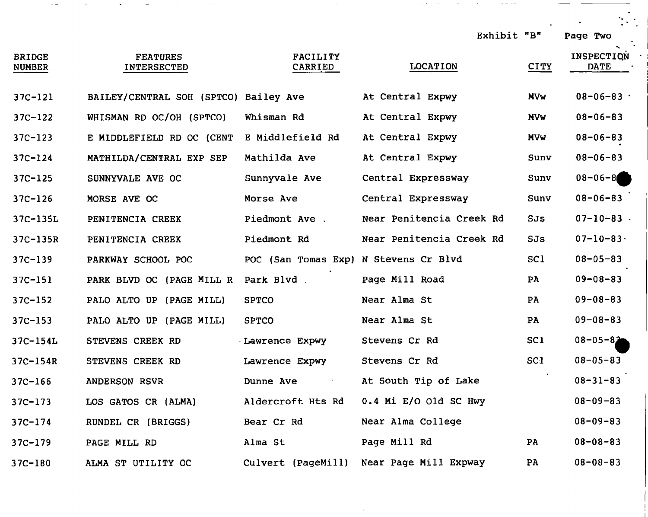| <b>BRIDGE</b><br><b>NUMBER</b> | <b>FEATURES</b><br><b>INTERSECTED</b> | <b>FACILITY</b><br>CARRIED            | <b>LOCATION</b>          | <b>CITY</b>     | <b>INSPECTION</b><br><b>DATE</b> |
|--------------------------------|---------------------------------------|---------------------------------------|--------------------------|-----------------|----------------------------------|
| $37C-121$                      | BAILEY/CENTRAL SOH (SPTCO) Bailey Ave |                                       | At Central Expwy         | <b>MVw</b>      | $08 - 06 - 83$                   |
| $37C - 122$                    | WHISMAN RD OC/OH (SPTCO)              | Whisman Rd                            | At Central Expwy         | <b>MVw</b>      | $08 - 06 - 83$                   |
| $37C - 123$                    | E MIDDLEFIELD RD OC (CENT             | E Middlefield Rd                      | At Central Expwy         | <b>MVw</b>      | $08 - 06 - 83$                   |
| $37C - 124$                    | MATHILDA/CENTRAL EXP SEP              | Mathilda Ave                          | At Central Expwy         | Sunv            | $08 - 06 - 83$                   |
| $37C - 125$                    | SUNNYVALE AVE OC                      | Sunnyvale Ave                         | Central Expressway       | Sunv            | $08 - 06 - 8$                    |
| $37C - 126$                    | MORSE AVE OC                          | Morse Ave                             | Central Expressway       | Sunv            | $08 - 06 - 83$                   |
| 37C-135L                       | PENITENCIA CREEK                      | Piedmont Ave.                         | Near Penitencia Creek Rd | SJs             | $07 - 10 - 83$ .                 |
| 37C-135R                       | PENITENCIA CREEK                      | Piedmont Rd                           | Near Penitencia Creek Rd | SJs             | $07 - 10 - 83$                   |
| $37C - 139$                    | PARKWAY SCHOOL POC                    | POC (San Tomas Exp) N Stevens Cr Blvd |                          | SC <sub>1</sub> | $08 - 05 - 83$                   |
| $37C - 151$                    | PARK BLVD OC (PAGE MILL R             | Park Blvd.                            | Page Mill Road           | PA              | $09 - 08 - 83$                   |
| $37C - 152$                    | PALO ALTO UP (PAGE MILL)              | <b>SPTCO</b>                          | Near Alma St             | PA              | $09 - 08 - 83$                   |
| $37C - 153$                    | PALO ALTO UP (PAGE MILL)              | <b>SPTCO</b>                          | Near Alma St             | PA              | $09 - 08 - 83$                   |
| $37C-154L$                     | STEVENS CREEK RD                      | Lawrence Expwy                        | Stevens Cr Rd            | SC <sub>1</sub> | $08 - 05 - 82$                   |
| $37C - 154R$                   | STEVENS CREEK RD                      | Lawrence Expwy                        | Stevens Cr Rd            | SC1             | $08 - 05 - 83$                   |
| $37C - 166$                    | <b>ANDERSON RSVR</b>                  | Dunne Ave<br>and the state of         | At South Tip of Lake     |                 | $08 - 31 - 83$                   |
| $37C - 173$                    | LOS GATOS CR (ALMA)                   | Aldercroft Hts Rd                     | 0.4 Mi E/O Old SC Hwy    |                 | $08 - 09 - 83$                   |
| $37C - 174$                    | RUNDEL CR (BRIGGS)                    | Bear Cr Rd                            | Near Alma College        |                 | $08 - 09 - 83$                   |
| $37C - 179$                    | PAGE MILL RD                          | Alma St                               | Page Mill Rd             | PA              | $08 - 08 - 83$                   |

37C-180 ALMA ST UTILITY OC Culvert (PageMi11) Near Page Mill Expway PA 08-08-83

Exhibit "B" Page Two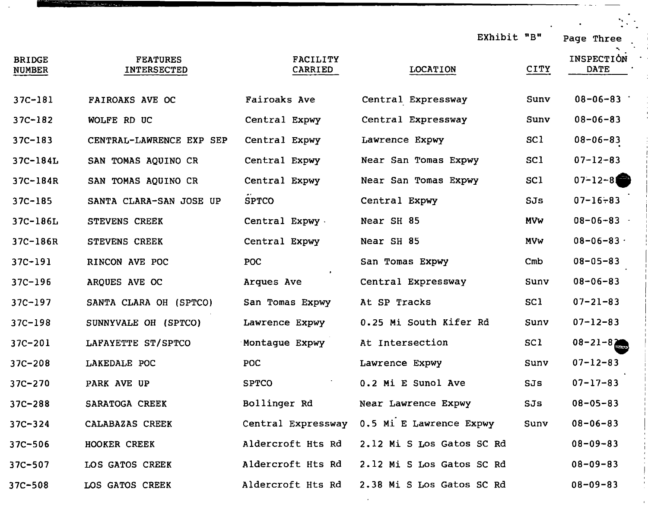|                                |                                       |                            |                           | EXhibit "B"     | Page Three                |
|--------------------------------|---------------------------------------|----------------------------|---------------------------|-----------------|---------------------------|
| <b>BRIDGE</b><br><b>NUMBER</b> | <b>FEATURES</b><br><b>INTERSECTED</b> | <b>FACILITY</b><br>CARRIED | <b>LOCATION</b>           | <b>CITY</b>     | INSPECTION<br><b>DATE</b> |
| $37C - 181$                    | FAIROAKS AVE OC                       | Fairoaks Ave               | Central Expressway        | Sunv            | $08 - 06 - 83$            |
| $37C - 182$                    | WOLFE RD UC                           | Central Expwy              | Central Expressway        | Sunv            | $08 - 06 - 83$            |
| $37C - 183$                    | CENTRAL-LAWRENCE EXP SEP              | Central Expwy              | Lawrence Expwy            | SC <sub>1</sub> | $08 - 06 - 83$            |
| 37C-184L                       | SAN TOMAS AQUINO CR                   | Central Expwy              | Near San Tomas Expwy      | SC1             | $07 - 12 - 83$            |
| 37C-184R                       | SAN TOMAS AQUINO CR                   | Central Expwy              | Near San Tomas Expwy      | SC1             | $07 - 12 - 8$             |
| $37C - 185$                    | SANTA CLARA-SAN JOSE UP               | <b>SPTCO</b>               | Central Expwy             | SJs             | $07 - 16 - 83$            |
| 37C-186L                       | STEVENS CREEK                         | Central Expwy              | Near SH 85                | <b>MVW</b>      | $08 - 06 - 83$            |
| 37C-186R                       | <b>STEVENS CREEK</b>                  | Central Expwy              | Near SH 85                | <b>MVW</b>      | $08 - 06 - 83$            |
| $37C - 191$                    | RINCON AVE POC                        | POC                        | San Tomas Expwy           | Cmb             | $08 - 05 - 83$            |
| $37C - 196$                    | ARQUES AVE OC                         | Arques Ave                 | Central Expressway        | Sunv            | $08 - 06 - 83$            |
| $37C - 197$                    | SANTA CLARA OH (SPTCO)                | San Tomas Expwy            | At SP Tracks              | SC <sub>1</sub> | $07 - 21 - 83$            |
| $37C - 198$                    | SUNNYVALE OH (SPTCO)                  | Lawrence Expwy             | 0.25 Mi South Kifer Rd    | Sunv            | $07 - 12 - 83$            |
| $37C - 201$                    | LAFAYETTE ST/SPTCO                    | Montague Expwy             | At Intersection           | SC1             | $08 - 21 - 82$            |
| $37C - 208$                    | LAKEDALE POC                          | POC.                       | Lawrence Expwy            | Sunv            | $07 - 12 - 83$            |
| 37C-270                        | PARK AVE UP                           | <b>SPTCO</b>               | 0.2 Mi E Sunol Ave        | SJs             | $07 - 17 - 83$            |
| $37C - 288$                    | SARATOGA CREEK                        | Bollinger Rd               | Near Lawrence Expwy       | SJs             | $08 - 05 - 83$            |
| $37C - 324$                    | CALABAZAS CREEK                       | Central Expressway         | 0.5 Mi E Lawrence Expwy   | Sunv            | $08 - 06 - 83$            |
| $37C - 506$                    | HOOKER CREEK                          | Aldercroft Hts Rd          | 2.12 Mi S Los Gatos SC Rd |                 | $08 - 09 - 83$            |
| 37C-507                        | LOS GATOS CREEK                       | Aldercroft Hts Rd          | 2.12 Mi S Los Gatos SC Rd |                 | $08 - 09 - 83$            |
| $37C - 508$                    | LOS GATOS CREEK                       | Aldercroft Hts Rd          | 2.38 Mi S Los Gatos SC Rd |                 | $08 - 09 - 83$            |

 $\sim$ 

نيول ميون <u>منه 14</u> سنڌ<sup>.</sup>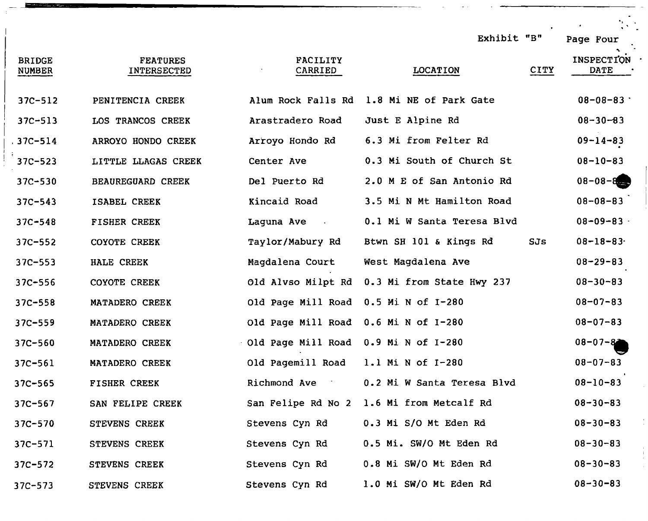| <b>BRIDGE</b><br><b>NUMBER</b> | <b>FEATURES</b><br>INTERSECTED | <b>FACILITY</b><br>CARRIED            | Exhibit "B"<br><b>LOCATION</b>            | CITY | $\mathcal{L}^{\text{max}}$<br>Page Four<br><b>INSPECTION</b><br><b>DATE</b> |
|--------------------------------|--------------------------------|---------------------------------------|-------------------------------------------|------|-----------------------------------------------------------------------------|
| $37C - 512$                    | PENITENCIA CREEK               |                                       | Alum Rock Falls Rd 1.8 Mi NE of Park Gate |      | $08 - 08 - 83$                                                              |
| $37C - 513$                    | LOS TRANCOS CREEK              | Arastradero Road                      | Just E Alpine Rd                          |      | $08 - 30 - 83$                                                              |
| $.37C - 514$                   | ARROYO HONDO CREEK             | Arroyo Hondo Rd                       | 6.3 Mi from Felter Rd                     |      | $09 - 14 - 83$                                                              |
| $37C - 523$                    | LITTLE LLAGAS CREEK            | Center Ave                            | 0.3 Mi South of Church St                 |      | $08 - 10 - 83$                                                              |
| $37C - 530$                    | <b>BEAUREGUARD CREEK</b>       | Del Puerto Rd                         | 2.0 M E of San Antonio Rd                 |      | $08 - 08 - 8$                                                               |
| $37C - 543$                    | ISABEL CREEK                   | Kincaid Road                          | 3.5 Mi N Mt Hamilton Road                 |      | $08 - 08 - 83$                                                              |
| $37C - 548$                    | <b>FISHER CREEK</b>            | Laguna Ave .                          | 0.1 Mi W Santa Teresa Blvd                |      | $08 - 09 - 83$                                                              |
| $37C - 552$                    | COYOTE CREEK                   | Taylor/Mabury Rd                      | Btwn SH 101 & Kings Rd                    | SJs  | $08 - 18 - 83$                                                              |
| $37C - 553$                    | HALE CREEK                     | Magdalena Court                       | West Magdalena Ave                        |      | $08 - 29 - 83$                                                              |
| $37C - 556$                    | <b>COYOTE CREEK</b>            | Old Alvso Milpt Rd                    | 0.3 Mi from State Hwy 237                 |      | $08 - 30 - 83$                                                              |
| $37C - 558$                    | MATADERO CREEK                 | Old Page Mill Road                    | 0.5 Mi N of I-280                         |      | $08 - 07 - 83$                                                              |
| $37C - 559$                    | MATADERO CREEK                 | Old Page Mill Road                    | 0.6 Mi N of I-280                         |      | $08 - 07 - 83$                                                              |
| $37C - 560$                    | MATADERO CREEK                 | Old Page Mill Road 0.9 Mi N of I-280  |                                           |      | $08 - 07 - 82$                                                              |
| $37C - 561$                    | MATADERO CREEK                 | Old Pagemill Road                     | 1.1 Mi N of I-280                         |      | $08 - 07 - 83$                                                              |
| $37C - 565$                    | FISHER CREEK                   | <b>Richmond Ave</b><br>$\sim 10^{-1}$ | 0.2 Mi W Santa Teresa Blvd                |      | $08 - 10 - 83$                                                              |
| $37C - 567$                    | SAN FELIPE CREEK               |                                       | San Felipe Rd No 2 1.6 Mi from Metcalf Rd |      | $08 - 30 - 83$                                                              |
| $37C - 570$                    | <b>STEVENS CREEK</b>           | Stevens Cyn Rd                        | 0.3 Mi S/O Mt Eden Rd                     |      | $08 - 30 - 83$                                                              |
| $37C - 571$                    | <b>STEVENS CREEK</b>           | Stevens Cyn Rd                        | 0.5 Mi. SW/O Mt Eden Rd                   |      | $08 - 30 - 83$                                                              |
| $37C - 572$                    | STEVENS CREEK                  | Stevens Cyn Rd                        | 0.8 Mi SW/O Mt Eden Rd                    |      | $08 - 30 - 83$                                                              |
| $37C - 573$                    | STEVENS CREEK                  | Stevens Cyn Rd                        | 1.0 Mi SW/O Mt Eden Rd                    |      | $08 - 30 - 83$                                                              |
|                                |                                |                                       |                                           |      |                                                                             |

 $\epsilon$ 

 $\frac{1}{2}$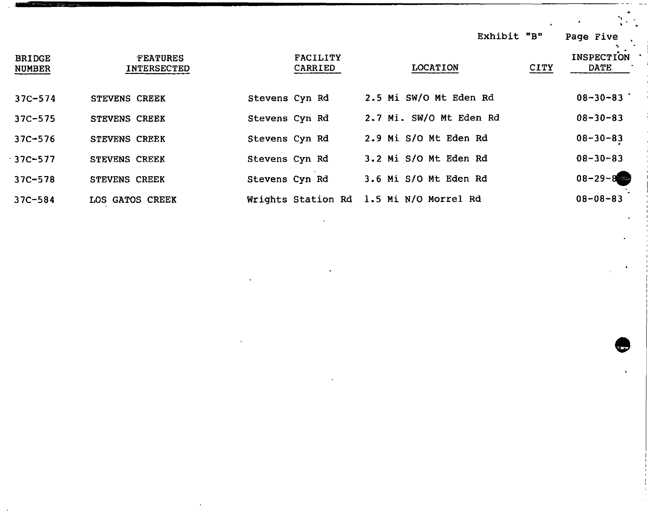|                                |                                       |                            | Exhibit "B"             |             | Page Five                        |
|--------------------------------|---------------------------------------|----------------------------|-------------------------|-------------|----------------------------------|
| <b>BRIDGE</b><br><b>NUMBER</b> | <b>FEATURES</b><br><b>INTERSECTED</b> | <b>FACILITY</b><br>CARRIED | <b>LOCATION</b>         | <b>CITY</b> | <b>INSPECTION</b><br><b>DATE</b> |
| $37C - 574$                    | <b>STEVENS CREEK</b>                  | Stevens Cyn Rd             | 2.5 Mi SW/O Mt Eden Rd  |             | $08 - 30 - 83$                   |
| $37C - 575$                    | STEVENS CREEK                         | Stevens Cyn Rd             | 2.7 Mi. SW/O Mt Eden Rd |             | $08 - 30 - 83$                   |
| $37C - 576$                    | STEVENS CREEK                         | Stevens Cyn Rd             | 2.9 Mi S/O Mt Eden Rd   |             | $08 - 30 - 83$                   |
| $37C - 577$                    | <b>STEVENS CREEK</b>                  | Stevens Cyn Rd             | 3.2 Mi S/O Mt Eden Rd   |             | $08 - 30 - 83$                   |
| $37C - 578$                    | STEVENS CREEK                         | Stevens Cyn Rd             | 3.6 Mi S/O Mt Eden Rd   |             | $08 - 29 - 8$                    |
| $37C - 584$                    | LOS GATOS CREEK                       | Wrights Station Rd         | 1.5 Mi N/O Morrel Rd    |             | $08 - 08 - 83$                   |

**Contract Contract** 

 $\mathcal{L}(\mathcal{L}(\mathcal{L}(\mathcal{L}(\mathcal{L}(\mathcal{L}(\mathcal{L}(\mathcal{L}(\mathcal{L}(\mathcal{L}(\mathcal{L}(\mathcal{L}(\mathcal{L}(\mathcal{L}(\mathcal{L}(\mathcal{L}(\mathcal{L}(\mathcal{L}(\mathcal{L}(\mathcal{L}(\mathcal{L}(\mathcal{L}(\mathcal{L}(\mathcal{L}(\mathcal{L}(\mathcal{L}(\mathcal{L}(\mathcal{L}(\mathcal{L}(\mathcal{L}(\mathcal{L}(\mathcal{L}(\mathcal{L}(\mathcal{L}(\mathcal{L}(\mathcal{L}(\mathcal{$ 

 $\mathcal{L}^{\text{max}}_{\text{max}}$  ,  $\mathcal{L}^{\text{max}}_{\text{max}}$ 

 $\hat{\mathcal{A}}$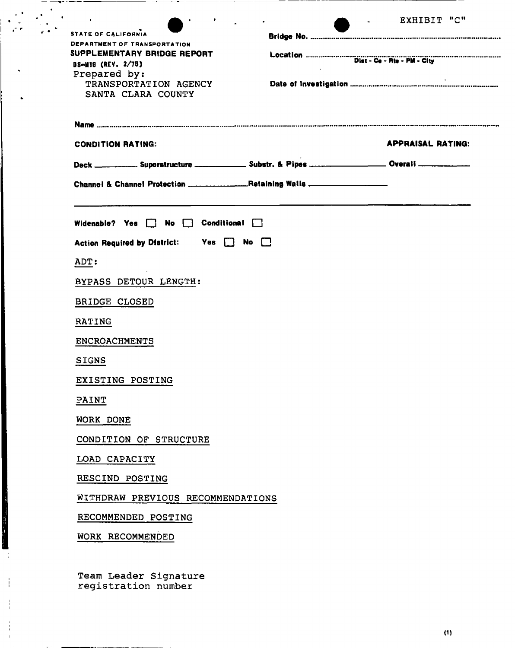| STATE OF CALIFORNIA<br>DEPARTMENT OF TRANSPORTATION<br>SUPPLEMENTARY BRIDGE REPORT                                              |                      | EXHIBIT "C"              |
|---------------------------------------------------------------------------------------------------------------------------------|----------------------|--------------------------|
| DS-M19 (REV. 2/75)<br>Prepared by:<br>TRANSPORTATION AGENCY<br>SANTA CLARA COUNTY                                               |                      |                          |
|                                                                                                                                 |                      |                          |
| <b>CONDITION RATING:</b><br>Deck __________ Superstructure _____________ Substr. & Pipes __________________ Overali ___________ |                      | <b>APPRAISAL RATING:</b> |
| Channel & Channel Protection _______________Retaining Walls ____________________                                                |                      |                          |
| Widenable? Yes $\Box$<br>No $\Box$                                                                                              | $Conditional$ $\Box$ |                          |
| Action Required by District: Yes No C                                                                                           |                      |                          |
| ADT:                                                                                                                            |                      |                          |
| BYPASS DETOUR LENGTH:                                                                                                           |                      |                          |
| <b>BRIDGE CLOSED</b>                                                                                                            |                      |                          |
| RATING                                                                                                                          |                      |                          |
| <b>ENCROACHMENTS</b>                                                                                                            |                      |                          |
| <b>SIGNS</b>                                                                                                                    |                      |                          |
| EXISTING POSTING                                                                                                                |                      |                          |
| PAINT                                                                                                                           |                      |                          |
| WORK DONE                                                                                                                       |                      |                          |
| CONDITION OF STRUCTURE                                                                                                          |                      |                          |
| LOAD CAPACITY                                                                                                                   |                      |                          |
| RESCIND POSTING                                                                                                                 |                      |                          |
| WITHDRAW PREVIOUS RECOMMENDATIONS                                                                                               |                      |                          |
| RECOMMENDED POSTING                                                                                                             |                      |                          |
|                                                                                                                                 |                      |                          |

 $\sim$   $-$ 

Ť

Ĵ.  $\mathbf{u}$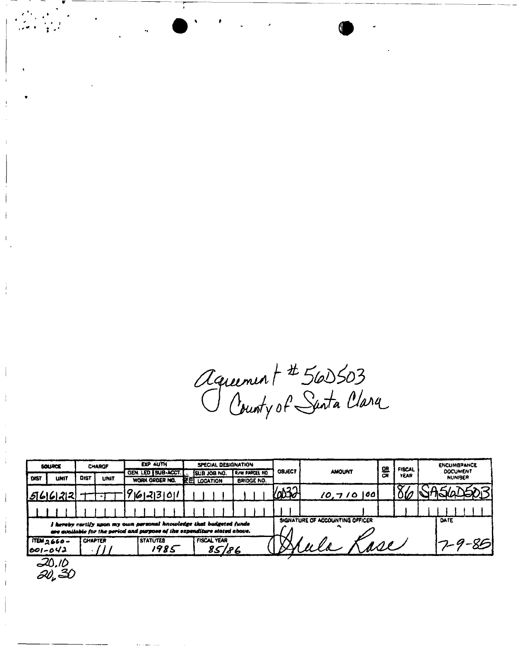*tZaui\*^ t 0 fajyot^\** ^

| SOURCE |                                                                                                                                                  | <b>CHARGF</b> |                |  |                        |  |                                        |    | <b>EXP AUTH</b> |                 |                                 |                       |                   |               |               | SPECIAL DESIGNATION |                   |                |                           |       | 얰 | <b>FISCAL</b> | <b>ENCUMBRANCE</b> |  |
|--------|--------------------------------------------------------------------------------------------------------------------------------------------------|---------------|----------------|--|------------------------|--|----------------------------------------|----|-----------------|-----------------|---------------------------------|-----------------------|-------------------|---------------|---------------|---------------------|-------------------|----------------|---------------------------|-------|---|---------------|--------------------|--|
| DIST   | <b>UNIT</b>                                                                                                                                      | DIST          | <b>UNIT</b>    |  |                        |  | GEN. LED   SUB-ACCT.<br>WORK ORDER NO. |    |                 | SUB JOB NO.     |                                 | <b>FROW PARCEL NO</b> |                   | <b>OBJECT</b> | <b>AMOUNT</b> |                     | <b>CR</b><br>YEAR |                | <b>DOCUMENT</b><br>NUMBER |       |   |               |                    |  |
|        |                                                                                                                                                  |               |                |  |                        |  |                                        | 医冠 |                 | <b>LOCATION</b> |                                 |                       | <b>BRIDGE NO.</b> |               |               |                     |                   |                |                           |       |   |               |                    |  |
|        | 566122                                                                                                                                           |               |                |  |                        |  | 9612131011                             |    |                 |                 |                                 |                       |                   | 6032          |               | $10,710$  00        |                   |                |                           |       |   |               |                    |  |
|        |                                                                                                                                                  |               |                |  |                        |  |                                        |    |                 |                 |                                 |                       |                   |               |               |                     |                   |                |                           |       |   |               |                    |  |
|        |                                                                                                                                                  |               |                |  |                        |  |                                        |    |                 |                 |                                 |                       |                   |               |               |                     |                   |                |                           |       |   |               |                    |  |
|        | I hereby certify upon my own personal knowledge that budgeted funds<br>are evailable for the period and purpose of the expenditure stated above. |               |                |  |                        |  |                                        |    |                 |                 | SIGNATURE OF ACCOUNTING OFFICER |                       |                   |               |               | DATE                |                   |                |                           |       |   |               |                    |  |
|        | TEM <sub>2660</sub><br>001-042                                                                                                                   |               | <b>CHAPTER</b> |  | <i><b>STATUTES</b></i> |  | 1985                                   |    |                 |                 | <b>FISCAL YEAR</b><br>85/86     |                       |                   |               |               |                     |                   | $\overline{u}$ |                           | - PGI |   |               |                    |  |
|        | ∆/.∆2                                                                                                                                            |               |                |  |                        |  |                                        |    |                 |                 |                                 |                       |                   |               |               |                     |                   |                |                           |       |   |               |                    |  |

20.10<br>20, 30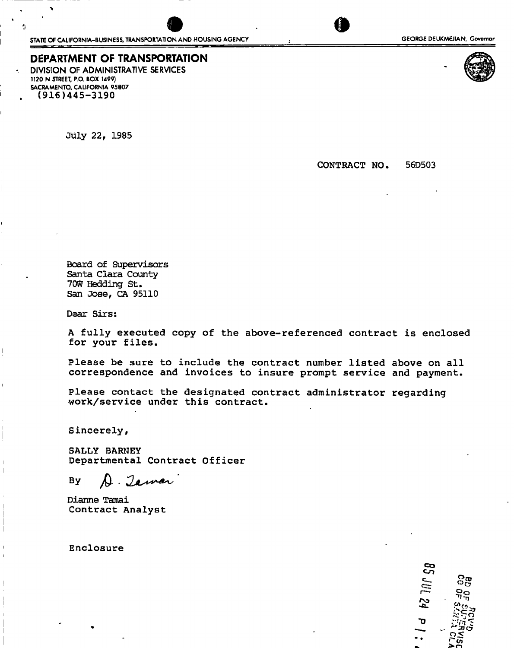# **DEPARTMENT OF TRANSPORTATION**

**DIVISION OF ADMINISTRATIVE SERVICES**  1120 N STREET, P.O. BOX 1499) SACRAMENTO, CALIFORNIA 95807 (916)445-3190

July 22, 1985

CONTRACT NO. 56D503

Board of Supervisors Santa Clara County 70W Hedding St. San Jose, CA 95110

Dear Sirs:

A fully executed copy of the above-referenced contract is enclosed for your files.

Please be sure to include the contract number listed above on all correspondence and invoices to insure prompt service and payment.

Please contact the designated contract administrator regarding work/service under this contract.

Sincerely,

SALLY BARNEY<br>Departmental Contract Officer

 $\blacksquare$ 

Dianne Tamai Dianne Tamai<br>Contract An Contract Analyst

Enclosure

**CO**  c-n *3g* **r>o -Ji.**  Ō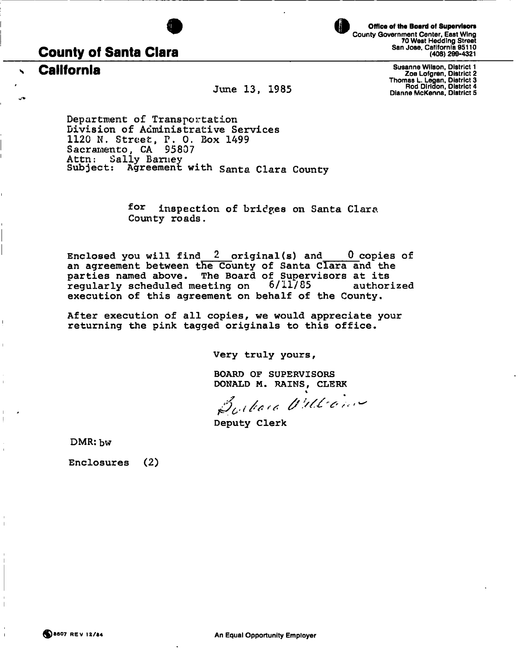

**Office of the Board of Supervisors**  County Government Center, East Wing 70 West Heddfng Street San Jose, California 95110 (408) 299-4321

# **County of Santa Clara**

**California** 

**June 13, 1985** 

Susanne Wilson, District 1 Zoe Lofgren, District 2 Thomas L. Legan, District 3 Rod Diridon, District 4 Dianne McKenna, District S

**Department of Transportation Division of Administrative Services 1120 N. Street, P. 0. Box 1499 Sacramento, CA 95807 Attn: Sally Barney**  Subject: Agreement with Santa Clara County

> **for inspection of bridges on Santa Clara County roads.**

Enclosed you will find **2** original(s) and **0** copies of an agreement between the County of Santa Clara and the parties named above. The Board of Supervisors at its<br>regularly scheduled meeting on  $6/11/85$  authorized regularly scheduled meeting on execution of this agreement on behalf of the County.

After execution of all copies, we would appreciate your returning the pink tagged originals to this office.

Very truly yours,

BOARD OF SUPERVISORS

DONALD M. RAINS, CLERK<br> $\beta_{\mathcal{U}^{\ell}}$  face Villicing

Deputy Clerk

DMR: bw

Ī

Enclosures **(2)**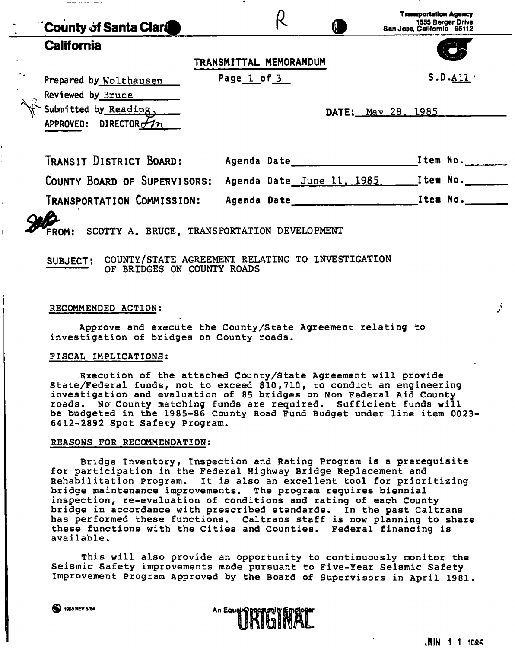| County of Santa Clar                                                                                 |                        |  | <b>Transportation Agency</b><br>1555 Berger Drive<br>San Jose, California 95112 |          |
|------------------------------------------------------------------------------------------------------|------------------------|--|---------------------------------------------------------------------------------|----------|
| <b>California</b>                                                                                    |                        |  |                                                                                 |          |
|                                                                                                      | TRANSMITTAL MEMORANDUM |  |                                                                                 |          |
| Prepared by Wolthausen                                                                               | Page 1 of 3            |  |                                                                                 | S.D.A11' |
| Reviewed by Bruce<br>Submitted by Reading,<br>APPROVED: DIRECTOR $\cancel{\mathcal{M}}$ <sub>2</sub> |                        |  | DATE: May 28, 1985                                                              |          |
| TRANSIT DISTRICT BOARD:                                                                              |                        |  |                                                                                 |          |
| COUNTY BOARD OF SUPERVISORS:                                                                         |                        |  | Agenda Date June 11, 1985 [108] Item No.                                        |          |
| TRANSPORTATION COMMISSION:                                                                           |                        |  |                                                                                 |          |
| SCOTTY A. BRUCE, TRANSPORTATION DEVELOPMENT<br><b>FROM:</b>                                          |                        |  |                                                                                 |          |

SUBJECT: **COUNTY/STATE AGREEMENT RELATING TO INVESTIGATION OF BRIDGES ON COUNTY ROADS** 

#### RECOMMENDED ACTION:

Approve and execute the County/State Agreement relating to investigation of bridges on County roads.

#### FISCAL IMPLICATIONS;

Execution of the attached County/State Agreement will provide State/Federal funds, not to exceed \$10,710, to conduct an engineering investigation and evaluation of 85 bridges on Non Federal Aid County roads. No County matching funds are required. Sufficient funds will be budgeted in the 1985-86 County Road Fund Budget under line item 0023- 6412-2892 Spot Safety Program.

#### REASONS FOR RECOMMENDATION:

Bridge Inventory, Inspection and Rating Program is a prerequisite for participation in the Federal Highway Bridge Replacement and Rehabilitation Program. It is also an excellent tool for prioritizing bridge maintenance improvements. The program requires biennial inspection, re-evaluation of conditions and rating of each County bridge in accordance with prescribed standards. In the past Caltrans has performed these functions. Caltrans staff is now planning to share these functions with the Cities and Counties. Federal financing is available.

This will also provide an opportunity to continuously monitor the Seismic Safety improvements made pursuant to Five-Year Seismic Safety Improvement Program Approved by the Board of Supervisors in April 1981.



**(a)** 1908 REV 5/84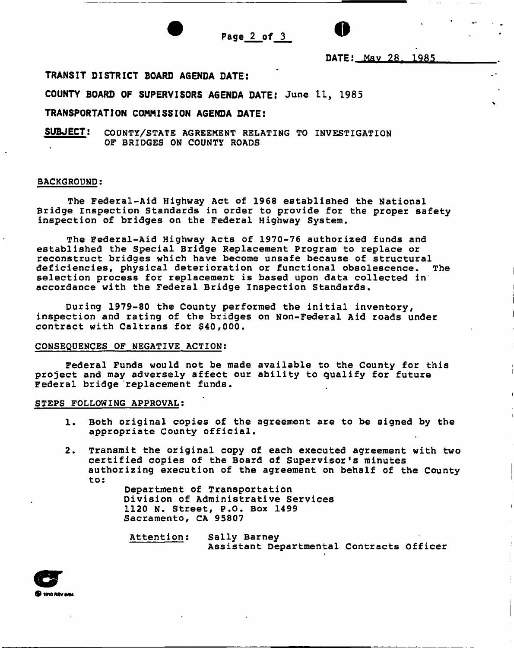

Page  $2$  of  $3$ 

 $\bullet$ <br>DATE: May 28, 198 DATE: May 28. 1985

## TRANSIT DISTRICT BOARD AGENDA DATE:

COUNTY BOARD OF SUPERVISORS AGENDA DATE: June 11, 1985

## TRANSPORTATION COMMISSION AGENDA DATE:

SUBJECT: COUNTY/STATE AGREEMENT RELATING TO INVESTIGATION OF BRIDGES ON COUNTY ROADS

#### BACKGROUND:

The Federal-Aid Highway Act of 1968 established the National Bridge inspection Standards in order to provide for the proper safety inspection of bridges on the Federal Highway System.

The Federal-Aid Highway Acts of 1970-76 authorized funds and established the Special Bridge Replacement Program to replace or reconstruct bridges which have become unsafe because of structural<br>deficiencies, physical deterioration or functional obsolescence. The deficiencies, physical deterioration or functional obsolescence. selection process for replacement is based upon data collected in accordance with the Federal Bridge Inspection Standards.

During 1979-80 the County performed the initial inventory, inspection and rating of the bridges on Non-Federal Aid roads under contract with Caltrans for \$40,000.

#### CONSEQUENCES OF NEGATIVE ACTION:

Federal Funds would not be made available to the County for this project and may adversely affect our ability to qualify for future Federal bridge replacement funds.

#### STEPS FOLLOWING APPROVAL:

- 1. Both original copies of the agreement are to be signed by the appropriate County official.
- 2. Transmit the original copy of each executed agreement with two certified copies of the Board of Supervisor's minutes authorizing execution of the agreement on behalf of the County to:

Department of Transportation Division of Administrative Services 1120 N. Street, P.O. Box 1499 Sacramento, CA 95807

Attention: Sally Barney Assistant Departmental Contracts Officer